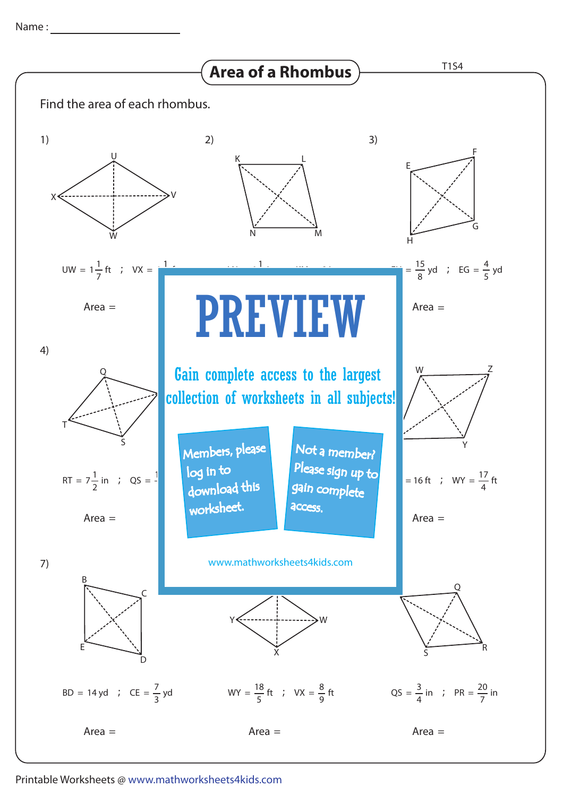